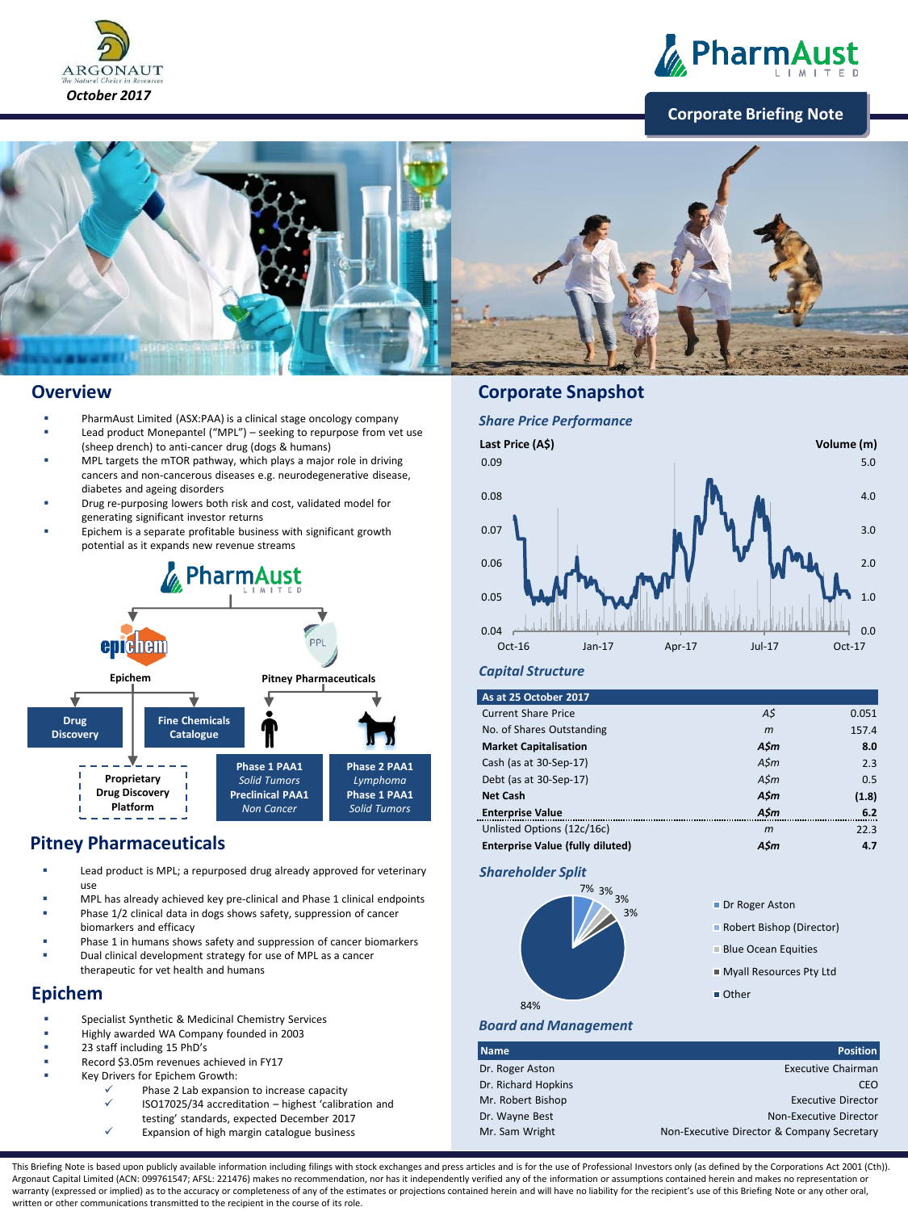



### **Corporate Briefing Note**



### **Overview**

- PharmAust Limited (ASX:PAA) is a clinical stage oncology company
- Lead product Monepantel ("MPL") seeking to repurpose from vet use (sheep drench) to anti-cancer drug (dogs & humans)
- MPL targets the mTOR pathway, which plays a major role in driving cancers and non-cancerous diseases e.g. neurodegenerative disease, diabetes and ageing disorders
- Drug re-purposing lowers both risk and cost, validated model for generating significant investor returns
- Epichem is a separate profitable business with significant growth potential as it expands new revenue streams



# **Pitney Pharmaceuticals**

- Lead product is MPL; a repurposed drug already approved for veterinary use
- MPL has already achieved key pre-clinical and Phase 1 clinical endpoints Phase 1/2 clinical data in dogs shows safety, suppression of cancer biomarkers and efficacy
- Phase 1 in humans shows safety and suppression of cancer biomarkers
- Dual clinical development strategy for use of MPL as a cancer therapeutic for vet health and humans

## **Epichem**

- Specialist Synthetic & Medicinal Chemistry Services
- Highly awarded WA Company founded in 2003
- 23 staff including 15 PhD's
- Record \$3.05m revenues achieved in FY17
- Key Drivers for Epichem Growth:
	- Phase 2 Lab expansion to increase capacity
	- ISO17025/34 accreditation highest 'calibration and
	- testing' standards, expected December 2017
	- Expansion of high margin catalogue business

## **Corporate Snapshot**



### *Capital Structure*

| As at 25 October 2017                   |              |       |
|-----------------------------------------|--------------|-------|
| <b>Current Share Price</b>              | A\$          | 0.051 |
| No. of Shares Outstanding               | $\mathsf{m}$ | 157.4 |
| <b>Market Capitalisation</b>            | A\$m         | 8.0   |
| Cash (as at 30-Sep-17)                  | A\$m         | 2.3   |
| Debt (as at 30-Sep-17)                  | A\$m         | 0.5   |
| <b>Net Cash</b>                         | A\$m         | (1.8) |
| <b>Enterprise Value</b>                 | A\$m         | 6.2   |
| Unlisted Options (12c/16c)              | $\mathsf{m}$ | 22.3  |
| <b>Enterprise Value (fully diluted)</b> | A\$m         | 4.7   |

### *Shareholder Split*



### Dr Roger Aston

- Robert Bishop (Director)
- **Blue Ocean Equities**
- Myall Resources Pty Ltd
- **Other**

### *Board and Management*

| <b>Name</b>         | <b>Position</b>                            |
|---------------------|--------------------------------------------|
| Dr. Roger Aston     | <b>Executive Chairman</b>                  |
| Dr. Richard Hopkins | CEO                                        |
| Mr. Robert Bishop   | <b>Executive Director</b>                  |
| Dr. Wayne Best      | Non-Executive Director                     |
| Mr. Sam Wright      | Non-Executive Director & Company Secretary |

This Briefing Note is based upon publicly available information including filings with stock exchanges and press articles and is for the use of Professional Investors only (as defined by the Corporations Act 2001 (Cth)). Argonaut Capital Limited (ACN: 099761547; AFSL: 221476) makes no recommendation, nor has it independently verified any of the information or assumptions contained herein and makes no representation or warranty (expressed or implied) as to the accuracy or completeness of any of the estimates or projections contained herein and will have no liability for the recipient's use of this Briefing Note or any other oral, written or other communications transmitted to the recipient in the course of its role.